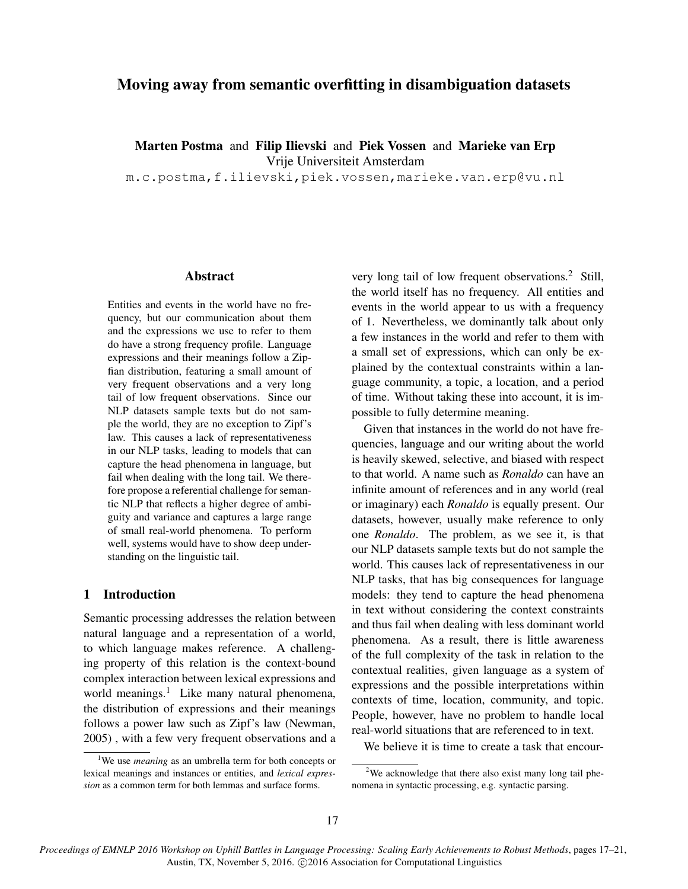# Moving away from semantic overfitting in disambiguation datasets

Marten Postma and Filip Ilievski and Piek Vossen and Marieke van Erp

Vrije Universiteit Amsterdam

m.c.postma,f.ilievski,piek.vossen,marieke.van.erp@vu.nl

#### Abstract

Entities and events in the world have no frequency, but our communication about them and the expressions we use to refer to them do have a strong frequency profile. Language expressions and their meanings follow a Zipfian distribution, featuring a small amount of very frequent observations and a very long tail of low frequent observations. Since our NLP datasets sample texts but do not sample the world, they are no exception to Zipf's law. This causes a lack of representativeness in our NLP tasks, leading to models that can capture the head phenomena in language, but fail when dealing with the long tail. We therefore propose a referential challenge for semantic NLP that reflects a higher degree of ambiguity and variance and captures a large range of small real-world phenomena. To perform well, systems would have to show deep understanding on the linguistic tail.

## 1 Introduction

Semantic processing addresses the relation between natural language and a representation of a world, to which language makes reference. A challenging property of this relation is the context-bound complex interaction between lexical expressions and world meanings.<sup>1</sup> Like many natural phenomena, the distribution of expressions and their meanings follows a power law such as Zipf's law (Newman, 2005) , with a few very frequent observations and a very long tail of low frequent observations.<sup>2</sup> Still, the world itself has no frequency. All entities and events in the world appear to us with a frequency of 1. Nevertheless, we dominantly talk about only a few instances in the world and refer to them with a small set of expressions, which can only be explained by the contextual constraints within a language community, a topic, a location, and a period of time. Without taking these into account, it is impossible to fully determine meaning.

Given that instances in the world do not have frequencies, language and our writing about the world is heavily skewed, selective, and biased with respect to that world. A name such as *Ronaldo* can have an infinite amount of references and in any world (real or imaginary) each *Ronaldo* is equally present. Our datasets, however, usually make reference to only one *Ronaldo*. The problem, as we see it, is that our NLP datasets sample texts but do not sample the world. This causes lack of representativeness in our NLP tasks, that has big consequences for language models: they tend to capture the head phenomena in text without considering the context constraints and thus fail when dealing with less dominant world phenomena. As a result, there is little awareness of the full complexity of the task in relation to the contextual realities, given language as a system of expressions and the possible interpretations within contexts of time, location, community, and topic. People, however, have no problem to handle local real-world situations that are referenced to in text.

We believe it is time to create a task that encour-

*Proceedings of EMNLP 2016 Workshop on Uphill Battles in Language Processing: Scaling Early Achievements to Robust Methods*, pages 17–21, Austin, TX, November 5, 2016. ©2016 Association for Computational Linguistics

<sup>&</sup>lt;sup>1</sup>We use *meaning* as an umbrella term for both concepts or lexical meanings and instances or entities, and *lexical expression* as a common term for both lemmas and surface forms.

<sup>&</sup>lt;sup>2</sup>We acknowledge that there also exist many long tail phenomena in syntactic processing, e.g. syntactic parsing.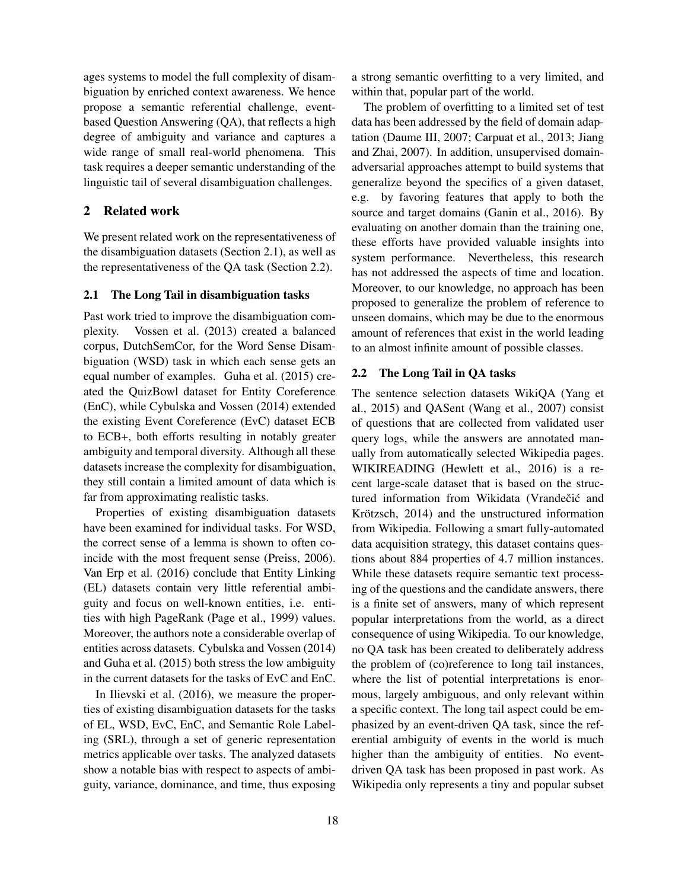ages systems to model the full complexity of disambiguation by enriched context awareness. We hence propose a semantic referential challenge, eventbased Question Answering (QA), that reflects a high degree of ambiguity and variance and captures a wide range of small real-world phenomena. This task requires a deeper semantic understanding of the linguistic tail of several disambiguation challenges.

## 2 Related work

We present related work on the representativeness of the disambiguation datasets (Section 2.1), as well as the representativeness of the QA task (Section 2.2).

## 2.1 The Long Tail in disambiguation tasks

Past work tried to improve the disambiguation complexity. Vossen et al. (2013) created a balanced corpus, DutchSemCor, for the Word Sense Disambiguation (WSD) task in which each sense gets an equal number of examples. Guha et al. (2015) created the QuizBowl dataset for Entity Coreference (EnC), while Cybulska and Vossen (2014) extended the existing Event Coreference (EvC) dataset ECB to ECB+, both efforts resulting in notably greater ambiguity and temporal diversity. Although all these datasets increase the complexity for disambiguation, they still contain a limited amount of data which is far from approximating realistic tasks.

Properties of existing disambiguation datasets have been examined for individual tasks. For WSD, the correct sense of a lemma is shown to often coincide with the most frequent sense (Preiss, 2006). Van Erp et al. (2016) conclude that Entity Linking (EL) datasets contain very little referential ambiguity and focus on well-known entities, i.e. entities with high PageRank (Page et al., 1999) values. Moreover, the authors note a considerable overlap of entities across datasets. Cybulska and Vossen (2014) and Guha et al. (2015) both stress the low ambiguity in the current datasets for the tasks of EvC and EnC.

In Ilievski et al. (2016), we measure the properties of existing disambiguation datasets for the tasks of EL, WSD, EvC, EnC, and Semantic Role Labeling (SRL), through a set of generic representation metrics applicable over tasks. The analyzed datasets show a notable bias with respect to aspects of ambiguity, variance, dominance, and time, thus exposing

a strong semantic overfitting to a very limited, and within that, popular part of the world.

The problem of overfitting to a limited set of test data has been addressed by the field of domain adaptation (Daume III, 2007; Carpuat et al., 2013; Jiang and Zhai, 2007). In addition, unsupervised domainadversarial approaches attempt to build systems that generalize beyond the specifics of a given dataset, e.g. by favoring features that apply to both the source and target domains (Ganin et al., 2016). By evaluating on another domain than the training one, these efforts have provided valuable insights into system performance. Nevertheless, this research has not addressed the aspects of time and location. Moreover, to our knowledge, no approach has been proposed to generalize the problem of reference to unseen domains, which may be due to the enormous amount of references that exist in the world leading to an almost infinite amount of possible classes.

### 2.2 The Long Tail in QA tasks

The sentence selection datasets WikiQA (Yang et al., 2015) and QASent (Wang et al., 2007) consist of questions that are collected from validated user query logs, while the answers are annotated manually from automatically selected Wikipedia pages. WIKIREADING (Hewlett et al., 2016) is a recent large-scale dataset that is based on the structured information from Wikidata (Vrandečić and Krötzsch, 2014) and the unstructured information from Wikipedia. Following a smart fully-automated data acquisition strategy, this dataset contains questions about 884 properties of 4.7 million instances. While these datasets require semantic text processing of the questions and the candidate answers, there is a finite set of answers, many of which represent popular interpretations from the world, as a direct consequence of using Wikipedia. To our knowledge, no QA task has been created to deliberately address the problem of (co)reference to long tail instances, where the list of potential interpretations is enormous, largely ambiguous, and only relevant within a specific context. The long tail aspect could be emphasized by an event-driven QA task, since the referential ambiguity of events in the world is much higher than the ambiguity of entities. No eventdriven QA task has been proposed in past work. As Wikipedia only represents a tiny and popular subset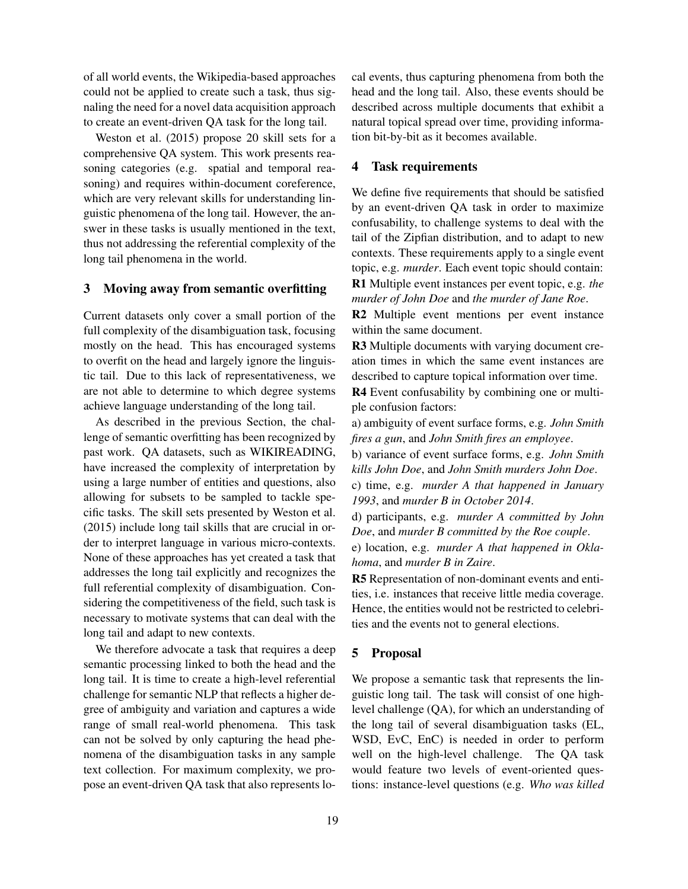of all world events, the Wikipedia-based approaches could not be applied to create such a task, thus signaling the need for a novel data acquisition approach to create an event-driven QA task for the long tail.

Weston et al. (2015) propose 20 skill sets for a comprehensive QA system. This work presents reasoning categories (e.g. spatial and temporal reasoning) and requires within-document coreference, which are very relevant skills for understanding linguistic phenomena of the long tail. However, the answer in these tasks is usually mentioned in the text, thus not addressing the referential complexity of the long tail phenomena in the world.

#### 3 Moving away from semantic overfitting

Current datasets only cover a small portion of the full complexity of the disambiguation task, focusing mostly on the head. This has encouraged systems to overfit on the head and largely ignore the linguistic tail. Due to this lack of representativeness, we are not able to determine to which degree systems achieve language understanding of the long tail.

As described in the previous Section, the challenge of semantic overfitting has been recognized by past work. QA datasets, such as WIKIREADING, have increased the complexity of interpretation by using a large number of entities and questions, also allowing for subsets to be sampled to tackle specific tasks. The skill sets presented by Weston et al. (2015) include long tail skills that are crucial in order to interpret language in various micro-contexts. None of these approaches has yet created a task that addresses the long tail explicitly and recognizes the full referential complexity of disambiguation. Considering the competitiveness of the field, such task is necessary to motivate systems that can deal with the long tail and adapt to new contexts.

We therefore advocate a task that requires a deep semantic processing linked to both the head and the long tail. It is time to create a high-level referential challenge for semantic NLP that reflects a higher degree of ambiguity and variation and captures a wide range of small real-world phenomena. This task can not be solved by only capturing the head phenomena of the disambiguation tasks in any sample text collection. For maximum complexity, we propose an event-driven QA task that also represents local events, thus capturing phenomena from both the head and the long tail. Also, these events should be described across multiple documents that exhibit a natural topical spread over time, providing information bit-by-bit as it becomes available.

## 4 Task requirements

We define five requirements that should be satisfied by an event-driven QA task in order to maximize confusability, to challenge systems to deal with the tail of the Zipfian distribution, and to adapt to new contexts. These requirements apply to a single event topic, e.g. *murder*. Each event topic should contain: R1 Multiple event instances per event topic, e.g. *the murder of John Doe* and *the murder of Jane Roe*.

R2 Multiple event mentions per event instance within the same document.

R3 Multiple documents with varying document creation times in which the same event instances are described to capture topical information over time.

R4 Event confusability by combining one or multiple confusion factors:

a) ambiguity of event surface forms, e.g. *John Smith fires a gun*, and *John Smith fires an employee*.

b) variance of event surface forms, e.g. *John Smith kills John Doe*, and *John Smith murders John Doe*.

c) time, e.g. *murder A that happened in January 1993*, and *murder B in October 2014*.

d) participants, e.g. *murder A committed by John Doe*, and *murder B committed by the Roe couple*.

e) location, e.g. *murder A that happened in Oklahoma*, and *murder B in Zaire*.

R5 Representation of non-dominant events and entities, i.e. instances that receive little media coverage. Hence, the entities would not be restricted to celebrities and the events not to general elections.

## 5 Proposal

We propose a semantic task that represents the linguistic long tail. The task will consist of one highlevel challenge (QA), for which an understanding of the long tail of several disambiguation tasks (EL, WSD, EvC, EnC) is needed in order to perform well on the high-level challenge. The QA task would feature two levels of event-oriented questions: instance-level questions (e.g. *Who was killed*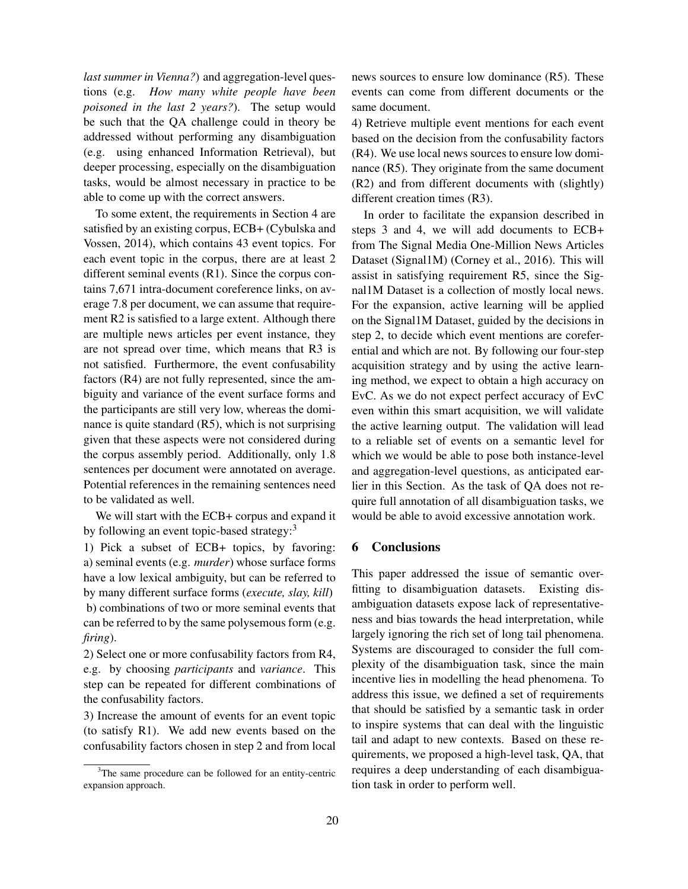*last summer in Vienna?*) and aggregation-level questions (e.g. *How many white people have been poisoned in the last 2 years?*). The setup would be such that the QA challenge could in theory be addressed without performing any disambiguation (e.g. using enhanced Information Retrieval), but deeper processing, especially on the disambiguation tasks, would be almost necessary in practice to be able to come up with the correct answers.

To some extent, the requirements in Section 4 are satisfied by an existing corpus, ECB+ (Cybulska and Vossen, 2014), which contains 43 event topics. For each event topic in the corpus, there are at least 2 different seminal events (R1). Since the corpus contains 7,671 intra-document coreference links, on average 7.8 per document, we can assume that requirement R2 is satisfied to a large extent. Although there are multiple news articles per event instance, they are not spread over time, which means that R3 is not satisfied. Furthermore, the event confusability factors (R4) are not fully represented, since the ambiguity and variance of the event surface forms and the participants are still very low, whereas the dominance is quite standard (R5), which is not surprising given that these aspects were not considered during the corpus assembly period. Additionally, only 1.8 sentences per document were annotated on average. Potential references in the remaining sentences need to be validated as well.

We will start with the ECB+ corpus and expand it by following an event topic-based strategy:<sup>3</sup>

1) Pick a subset of ECB+ topics, by favoring: a) seminal events (e.g. *murder*) whose surface forms have a low lexical ambiguity, but can be referred to by many different surface forms (*execute, slay, kill*) b) combinations of two or more seminal events that can be referred to by the same polysemous form (e.g. *firing*).

2) Select one or more confusability factors from R4, e.g. by choosing *participants* and *variance*. This step can be repeated for different combinations of the confusability factors.

3) Increase the amount of events for an event topic (to satisfy R1). We add new events based on the confusability factors chosen in step 2 and from local news sources to ensure low dominance (R5). These events can come from different documents or the same document.

4) Retrieve multiple event mentions for each event based on the decision from the confusability factors (R4). We use local news sources to ensure low dominance (R5). They originate from the same document (R2) and from different documents with (slightly) different creation times (R3).

In order to facilitate the expansion described in steps 3 and 4, we will add documents to ECB+ from The Signal Media One-Million News Articles Dataset (Signal1M) (Corney et al., 2016). This will assist in satisfying requirement R5, since the Signal1M Dataset is a collection of mostly local news. For the expansion, active learning will be applied on the Signal1M Dataset, guided by the decisions in step 2, to decide which event mentions are coreferential and which are not. By following our four-step acquisition strategy and by using the active learning method, we expect to obtain a high accuracy on EvC. As we do not expect perfect accuracy of EvC even within this smart acquisition, we will validate the active learning output. The validation will lead to a reliable set of events on a semantic level for which we would be able to pose both instance-level and aggregation-level questions, as anticipated earlier in this Section. As the task of QA does not require full annotation of all disambiguation tasks, we would be able to avoid excessive annotation work.

## 6 Conclusions

This paper addressed the issue of semantic overfitting to disambiguation datasets. Existing disambiguation datasets expose lack of representativeness and bias towards the head interpretation, while largely ignoring the rich set of long tail phenomena. Systems are discouraged to consider the full complexity of the disambiguation task, since the main incentive lies in modelling the head phenomena. To address this issue, we defined a set of requirements that should be satisfied by a semantic task in order to inspire systems that can deal with the linguistic tail and adapt to new contexts. Based on these requirements, we proposed a high-level task, QA, that requires a deep understanding of each disambiguation task in order to perform well.

<sup>&</sup>lt;sup>3</sup>The same procedure can be followed for an entity-centric expansion approach.